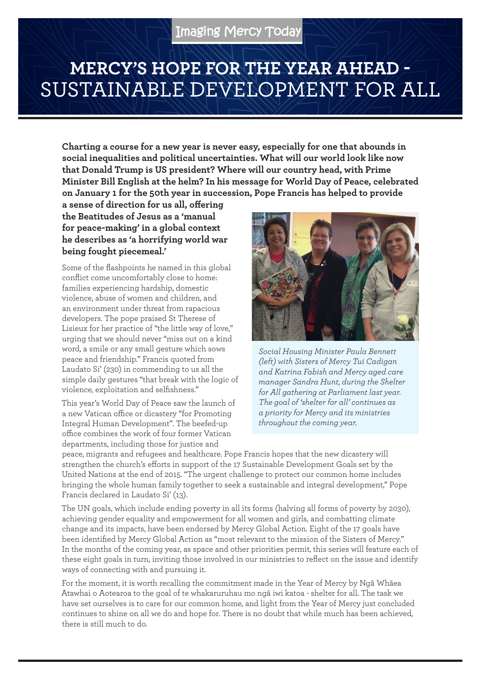## **MERCY'S HOPE FOR THE YEAR AHEAD -**  SUSTAINABLE DEVELOPMENT FOR ALL

**Charting a course for a new year is never easy, especially for one that abounds in social inequalities and political uncertainties. What will our world look like now that Donald Trump is US president? Where will our country head, with Prime Minister Bill English at the helm? In his message for World Day of Peace, celebrated on January 1 for the 50th year in succession, Pope Francis has helped to provide** 

**a sense of direction for us all, offering the Beatitudes of Jesus as a 'manual for peace-making' in a global context he describes as 'a horrifying world war being fought piecemeal.'**

Some of the flashpoints he named in this global conflict come uncomfortably close to home: families experiencing hardship, domestic violence, abuse of women and children, and an environment under threat from rapacious developers. The pope praised St Therese of Lisieux for her practice of "the little way of love," urging that we should never "miss out on a kind word, a smile or any small gesture which sows peace and friendship." Francis quoted from Laudato Si' (230) in commending to us all the simple daily gestures "that break with the logic of violence, exploitation and selfishness."

This year's World Day of Peace saw the launch of a new Vatican office or dicastery "for Promoting Integral Human Development". The beefed-up office combines the work of four former Vatican departments, including those for justice and



*Social Housing Minister Paula Bennett (left) with Sisters of Mercy Tui Cadigan and Katrina Fabish and Mercy aged care manager Sandra Hunt, during the Shelter for All gathering at Parliament last year. The goal of 'shelter for all' continues as a priority for Mercy and its ministries throughout the coming year.*

peace, migrants and refugees and healthcare. Pope Francis hopes that the new dicastery will strengthen the church's efforts in support of the 17 Sustainable Development Goals set by the United Nations at the end of 2015. "The urgent challenge to protect our common home includes bringing the whole human family together to seek a sustainable and integral development," Pope Francis declared in Laudato Si' (13).

The UN goals, which include ending poverty in all its forms (halving all forms of poverty by 2030), achieving gender equality and empowerment for all women and girls, and combatting climate change and its impacts, have been endorsed by Mercy Global Action. Eight of the 17 goals have been identified by Mercy Global Action as "most relevant to the mission of the Sisters of Mercy." In the months of the coming year, as space and other priorities permit, this series will feature each of these eight goals in turn, inviting those involved in our ministries to reflect on the issue and identify ways of connecting with and pursuing it.

For the moment, it is worth recalling the commitment made in the Year of Mercy by Ngā Whāea Atawhai o Aotearoa to the goal of te whakaruruhau mo ngā iwi katoa - shelter for all. The task we have set ourselves is to care for our common home, and light from the Year of Mercy just concluded continues to shine on all we do and hope for. There is no doubt that while much has been achieved, there is still much to do.